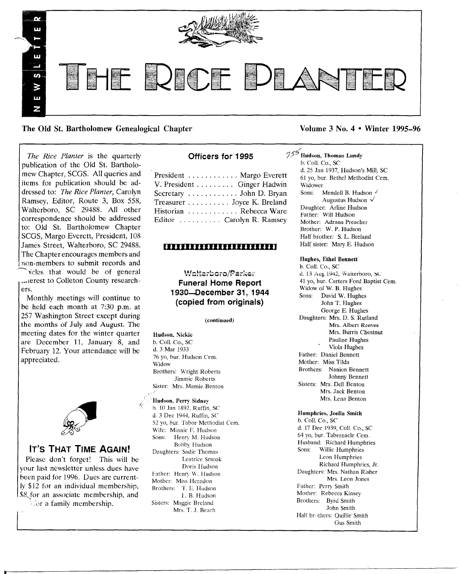

The Old St. Bartholomew Genealogical Chapter Volume 3 No. 4 • Winter 1995–96

*The Rice Planter* is the quarterly publication of the Old St. Bartholomew Chapter, SCGS. All queries and items for publication should be addressed to: *The Rice Planter,* Carolyn Ramsey, Editor, Route 3, Box 558, Walterboro, SC 29488. All other<br>correspondence should be addressed SCGS, Margo Everett, President, 108 to: Old St. Bartholomew Chapter The Chapter encourages members and inon-members to submit records and

ricles that would be of general .•,(erest to Colleton County researchers.

Monthly meetings will continue to be held each month at 7:30 p.m. at 257 Washington Street except during the months of July and August. The meeting dates for the winter quarter are December 11, January 8, and February 12. Your attendance will be appreciated.



# IT'S THAT TIME AGAIN!

Please don't forget! This will be your last newsletter unless dues have heen paid for 1996. Dues are currently \$12 for an individual membership, \$8 for an associate membership, and

 $\mathbb{Z}$ or a family membership.

# Officers for 1995

President . . . . . . . . . . . Margo Everett V. President . . . . . . Ginger Hadwin Secretary ............ John D. Bryan Treasurer . . . . . . . . . Joyce K. Breland Historian ........... Rebecca Ware Editor  $\dots$  Carolyn R. Ramsey

# **1111111111111111111111111**

**Walterboro/Parker** Funeral Home Report 1930-December 31, 1944 (copied from originals)

#### (continued)

Hudson, Nickie b. Call. Co., SC d, 3 Mar 1933 76 yo, bur. Hudson Cem. Widow Brothers: Wright Roberts Jimmie Roberts Sister: Mrs. Mamie Benton

Hudson, Perry Sidney b. 10 Jan 1892, Ruffin, SC d. 3 Dee 1944, Ruffin, SC 52 yo, bur. Tabor Methodist Cem. Wife: Minnie E. Hudson Sons: Henry M. Hudson Bobby Hudson Daughters: Sadie Thomas Leatrice Smoak Doris Hudson Father: Henry W. Hudson Mother: Miss Herndon Brothers: T. E. Hudson L. B. Hudson Sisters: Maggie Breland Mrs. T. J. Beach

# $75<sup>5</sup>$  Hudson, Thomas Landy

b. CoIL Co., SC d. 25 Jan 1937, Hudson's Mill, SC 61 yo, bur. Bethel Methodist Cern. Widower Sons: Mendell B. Hudson Augustus Hudson  $\sqrt{}$ Daughter: Arline Hudson Father: Will Hudson Mother: Adrana Preacher Brother: W. P. Hudson Half brother: S. L. Breland Half sister: Mary E. Hudson

# Hughes, Ethel Bennett

b. CoIL Co., SC d. 13 Aug 1942, Walterboro, SC 41 yo, bur. Carters Ford Baptist Cem. Widow of W. B. Hughes Sons: David W. Hughes John T. Hughes George E. Hughes Daughters: Mrs. D. S. Rutland Mrs. Albert Reeves Mrs. Burris Chestnut Pauline Hughes Viola Hughes Father: Daniel Bennett Mother: Miss Tilda Brothers: Nanion Bennett Johnny Bennett Sisters: Mrs. Dell Benton Mrs. Jack Benton Mrs. Lena Benton

#### Humphries. JoeUa Smith

b. CoIL Co., SC d. 17 Dec 1939, ColI. Co., SC 64 yo, bur. Tabernacle Cern. Husband: Richard Humphries<br>Sons: Willie Humphries Willie Humphries Leon Humphries Richard Humphries, Jr. Daughters: Mrs. Nathan Risher Mrs. Leon Jones Father: Perry Smith Mother: Rebecca Kinsey Brothers: Byrd Smith John Smith Half brothers: Quillie Smith Gus Smith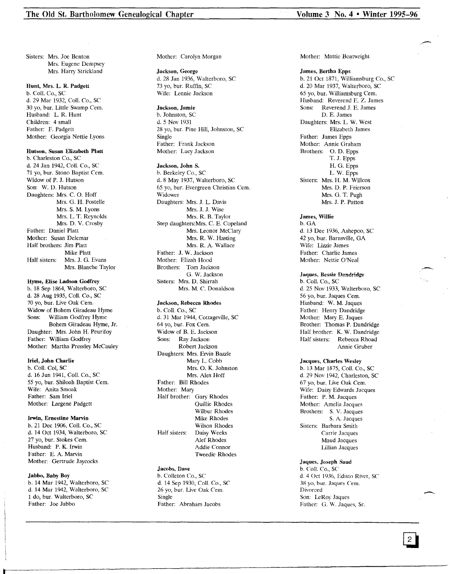Sisters: Mrs. Joe Benton Mrs. Eugene Dempsey Mrs. Harry Strickland

# Hunt, Mrs. L. R. Padgett

b. Call. Co., SC d. 29 Mar 1932, Call. Co., SC 30 yo, bur. Little Swamp Cem. Husband: L. R. Hunt Children: 4 small Father: F. Padgett Mother: Georgia Nettie Lyons

Hutson, Susan Elizabeth Platt b. Charleston Co., SC d. 24 Jan 1942, ColI. Co., SC 71 yo, bur. Stono Baptist Cem. Widow of P. J. Hutson Son: W. D. Hutson Daughters: Mrs. C. O. Hoff Mrs. G. H. Postelle Mrs. S. M. Lyons Mrs. L. T. Reynolds Mrs. D. V. Crosby Father: Daniel Platt Mother: Susan Delemar Half brothers: Jim Platt Mike Platt Half sisters: Mrs. J. G. Evans Mrs. Blanche Taylor

#### Hyrne, Elise Ladson Godfrey

b. 18 Sep 1864, Walterboro, SC d. 28 Aug 1935, Call. Co., SC 70 yo, bur. Live Oak Cern. Widow of Bohem Giradeau Hyme Sons: William Godfrey Hyme Bohem Giradeau Hyme, Jr. Daughter: Mrs. John H. Peurifoy Father: William Godfrey Mother: Martha Pressley McCauley

#### Iriel, John Charlie

b. Coil. Col, SC d. 16 Jun 1941, Coll. Co., SC 55 yo, bur. Shiloah Baptist Cem. Wife: Anita Smoak Father: Sam Iriel Mother: Largene Padgett

### Irwin, Ernestine Marvin

b. 21 Dec 1906, ColI. Co., SC d. 14 Oct 1934, Walterboro, SC 27 yo, bur. Stokes Cem. Husband: P. K. Irwin Father: E. A. Marvin Mother: Gertrude Jaycocks

#### Jabbo, Baby Boy

b. 14 Mar 1942, Walterboro, SC d. 14 Mar 1942, Walterboro, SC 1 do, bur. Walterboro, SC Father: Joe Jabbo

Mother: Carolyn Morgan

Jackson, George d. 28 Jan 1936, Walterboro, SC 73 yo, bur. Ruffin, SC Wife: Lennie Jackson

# Jackson, Jamie

b. Johnston, SC d. 5 Nov 1931 28 yo, bur. Pine Hill, Johnston, SC Single Father: Frank Jackson Mother: Lucy Jackson

#### Jackson, John S.

b. Berkeley Co., SC d.8 May 1937, Walterboro, SC 65 yo, bur. Evergreen Christian Cern. Widower Daughters: Mrs. J. L. Davis Mrs. J. J. Wise Mrs. R. B. Taylor Step daughters:Mrs. C. E. Copeland Mrs. Leonor McClary Mrs. R. W. Hasting Mrs. R. A. Wallace Father: J. W. Jackson Mother: Elizah Hood Brothers: Tom Jackson G. W. Jackson Sisters: Mrs. D. Shirrah Mrs. M. C. Donaldson

# Jackson, Rebecca Rhodes

b. ColI. Co., SC d. 31 Mar 1944, Cottageville, SC 64 yo, bur. Fox Cern. Widow of B. E. Jackson Sons: Ray Jackson Robert Jackson Daughters: Mrs. Ervin Bazzle Mary L. Cobb Mrs. O. K. Johnston Mrs. Alex Hoff Father: Bill Rhodes Mother: Mary Half brother: Gary Rhodes Quillie Rhodes Wilbur Rhodes Mike Rhodes Wilson Rhodes Half sisters: Daisy Weeks Alef Rhodes Addie Connor Tweedie Rhodes

# Jacobs. Dave

b. Colleton Co., SC d. 14 Sep 1930, ColI. Co., SC 26 yo, bur. Live Oak Cem. Single Father: Abraham Jacobs

Mother: Mattie Boatwright

James, Bertha Epps b. 21 Oct 1871, Williamsburg Co., SC d. 20 Mar 1937, Walterboro, SC 65 yo, bur. Williamsburg Cern. Husband: Reverend E. Z. James<br>Sons: Reverend J. E. James Reverend J. F. James D. E. James Daughters: Mrs. L. W. West Elizabeth James Father: James Epps Mother: Annie Graham Brothers: O. D. Epps T. J. Epps H. G. Epps L. W. Epps Sisters: Mrs. H. M. Willcox Mrs. D. P. Frierson Mrs. G. T. Pugh Mrs. J. P. Patton

James, Willie b.GA d. 13 Dec 1936, Ashepoo, SC 42 yo, bur. Barnsville, GA Wife: Lizzie James Father: Charlie James Mother: Nettie O'Neal

Jaques, Bessie Dandridge b. Coil. Co., SC d. 25 Nov 1933, Walterboro, SC 56 yo, bur. Jaques Cern. Husband: W. M. Jaques Father: Henry Dandridge Mother: Mary E. Jaques Brother: Thomas P. Dandridge Half brother: K. W. Dandridge<br>Half sisters: Rebecca Rhoad Rebecca Rhoad

Annie Gruber Jacques, Charles Wesley b. 13 Mar 1875, ColI. Co., SC

d. 29 Nov 1942, Charleston, SC 67 yo, bur. Live Oak Cem. Wife: Daisy Edwards Jacques Father: P. M. Jacques Mother: Amelia Jacques Brothers: S. V. Jacques S. A. Jacques Sisters: Barbara Smith Carrie Jacques Maud Jacques Lillian Jacques

#### Jaques, Joseph Saud

b. ColI. Co., SC d. 4 Oct 1936, Edisto River, SC 38 yo, bur. Jaques Cem. Divorced Son: LeRoy Jaques Father: G. W. Jaques, Sr.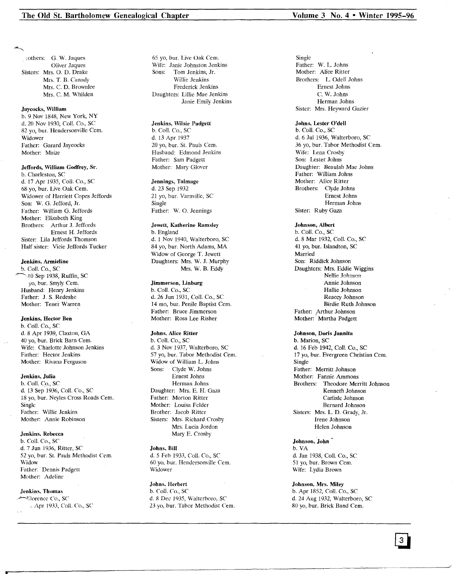rothers: G. W. Jaques Oliver Jaques Sisters: Mrs. O. D. Drake Mrs. T. B. Canady Mrs. C. D. Brownlee Mrs. C. M. Whilden

Jaycocks, William b. 9 Nov 1848, New York, NY d. 20 Nov 1930, Call. Co., SC 82 yo, bur. Hendersonville Cem. Widower Father: Garard Jaycocks Mother: Maize

# Jeffords, William Godfrey, Sr.

b. Charleston, SC d. 17 Apr 1935, Call. Co., SC 68 yo, bur. Live Oak Cern. Widower of Harriett Copes Jeffords Son: W. G. Jefford, Jr. Father: William G. Jeffords Mother: Elizabeth King Brothers: Arthur J. Jeffords Ernest H. Jeffords Sister: Lila Jeffords Thomson Half sister: Vicie Jeffords Tucker

#### Jenkins, Armieline

b. Call. Co., SC  $-40$  Sep 1938, Ruffin, SC yo, bur. Smyly Cem. Husband: Henry Jenkins Father: J. S. Redeshe Mother: Tener Warren

#### Jenkins, Hector Ben

b. Call. Co., SC d. 8 Apr 1939, Claxton, GA 40 yo, bur. Brick Barn Cem. Wife: Charlotte Johnson Jenkins Father: Hector Jenkins Mother: Rivana Ferguson

#### Jenkins, Julia

b. Call. Co., SC d. 13 Sep 1936, Call. Co., SC 18 yo, bur. Neyles Cross Roads Cern. Single Father: Willie Jenkins Mother: Annie Robinson

#### Jenkins, Rebecca

b. ColI. Co., SC d. 7 Jun 1936, Ritter, SC 52 yo, bur. St. Pauls Methodist Cern. Widow Father: Dennis Padgett Mother: Adeline

#### Jenkins, Thomas

·~"orenee Co., SC Apr 1933, Call. Co., SC 65 yo, bur. Live Oak Cern. Wife: Janie Johnston Jenkins Sons: Tom Jenkins, Jr. Willie Jenkins Frederick Jenkins Daughters: Lillie Mae Jenkins Janie Emily Jenkins

# Jenkins, Wilsie Padgett

b. Call. Co., SC d. 13 Apr 1937 20 yo, bur. St. Pauls Cern. Husband: Edmond Jenkins Father: Sam Padgett Mother: Mary Glover

### Jennings, Talmage

d. 23 Sep 1932 21 yo, bur. Varnville, SC Single Father: W. O. Jennings

#### Jewett, Katherine Ramsley

b. England d. 1 Nov 1940, Walterboro, SC 84 yo, bur. North Adams, MA Widow of George T. Jewett Daughters: Mrs. W. J. Murphy Mrs. W. B. Eddy

## Jimmerson, Linburg

b. Call. Co., SC d. 26 Jun 1931, Call. Co., SC 14 mo, bur. Penile Baptist Cem. Father: Bruce Jimmerson Mother: Rosa Lee Risher

### Johns, Alice Ritter

b. Call. Co., SC d. 3 Nov 1937, Walterboro, SC 57 yo, bur. Tabor Methodist Cem. Widow of William L. Johns Sons: Clyde W. Johns Ernest Johns Herman Johns Daughter: Mrs. E. H. Gaza Father: Morton Ritter Mother: Louisa Felder Brother: Jacob Ritter Sisters: Mrs. Richard Crosby Mrs. Lucia Jordon Mary E. Crosby

#### Johns, Bill

d. 5 Feb 1933, Coil. Co., SC 60 yo, bur. Hendersonville Cern. Widower

#### Johns, Herbert

b. Call. Co., SC d. 8 Dee 1935, Walterboro, SC 23 yo, bur. Tabor Methodist Cem. Single Father: W. L. Johns Mother: Alice Ritter Brothers: L. Odell Johns Ernest Johns C. W. Johns

#### Herman Johns Sister: Mrs. Heyward Gazier

#### Johns, Lester O'dell

b. ColI. Co., SC d. 6 Jul 1936, Walterboro, SC 36 yo, bur. Tabor Methodist Cem. Wife: Lena Crosby Son: Lester Johns Daughter: Beaulah Mae Johns Father: William Johns Mother: Alice Ritter Brothers: Clyde Johns Ernest Johns Herman Johns Sister: Ruby Gaza

Johnson, Albert b. Coli. Co., SC d. 8 Mar 1932, Call. Co., SC 41 yo, bur. Islandton, SC Married Son: Riddick Johnson Daughters: Mrs. Eddie Wiggins Nellie Johnson Annie Johnson Hallie Johnson Reaccy Johnson Birdie Ruth Johnson Father: Arthur Johnson Mother: Martha Padgett

#### Johnson, Doris Jannita

b. Marion, SC d. 16 Feb 1942, ColI. Co., SC 17 yo, bur. Evergreen Christian Cern. Single Father: Merritt Johnson Mother: Fannie Ammons Brothers: Theodore Merritt Johnson Kenneth Johnson Carlisle Johnson Bernard Johnson Sisters: Mrs. L. D. Grady, Jr. Irene Johnson Helen Johnson

Johnson, John b. VA d. Jan 1938, Call. Co., SC 51 yo, bur. Brown Cern. Wife: Lydia Brown

#### Johnson, Mrs. Miley

b. Apr 1852, Coll. Co., SC d. 24 Aug 1932, Walterboro, SC 80 yo, bur. Brick Band Cern.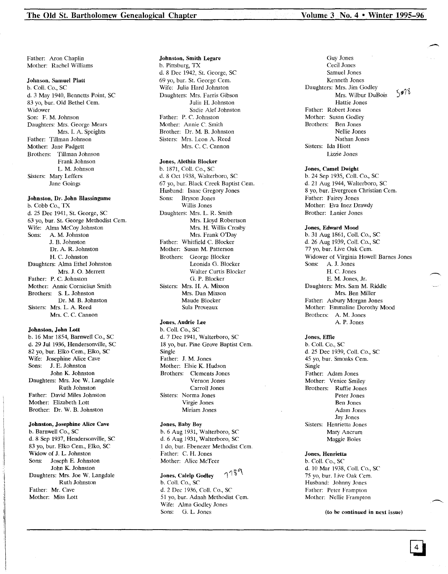.-

Father: Aron Chaplin Mother: Rachel Williams

#### Johnson, Samuel Platt

b. CoIl. Co., SC d. 3 May 1940, Bennetts Point, SC 83 yo, bur. Old Bethel Cem. Widower Son: F. M.Johnson Daughters: Mrs. George Mears Mrs. I. A. Speights Father: Tillman Johnson Mother: Jane Padgett Brothers: Tillman Johnson Frank Johnson L. M. Johnson Sisters: Mary Leffers Jane Goings

# Johnston, Dr. John Blassingame

b. Cobb Co., TX d. 25 Dec 1941, St. George, SC 63 yo, bur. St. George Methodist Cern. Wife: Alma McCoy Johnston Sons: A. M. Johnston J. B. Johnston Dr. A. R. Johnston H. C. Johnston Daughters: Alma Ethel Johnston Mrs. J. O. Merrett Father; P. C. Johnston Mother: Annie Cornielius Smith Brothers: S. L. Johnston Dr. M. B. Johnston Sisters: Mrs. L. A. Reed Mrs. C. C. Cannon

#### Johnston, John Lott

b. 16 Mar 1854, Barnwell Co., SC d. 29 Jul 1936, Hendersonville, SC 82 yo, bur. Elko Cem., Elko, SC Wife: Josephine Alice Cave<br>Sons: J. E. Johnston J. E. Johnston John K. Johnston Daughters: Mrs. Joe W. Langdale Ruth Johnston Father: David Miles Johnston Mother: Elizabeth Lott Brother: Dr. W. B. Johnston

#### Johnston, Josephine Alice Cave

b. Barnwell Co., SC d. 8 Sep 1937, Hendersonville, SC 83 yo, bur. Elko Cern., Elko, SC Widow of J. L. Johnston Sons: Joseph E. Johnston John K. Johnston Daughters: Mrs. Joe W. Langdale Ruth Johnston Father: Mr. Cave Mother: Miss Lott

#### Johnston, Smith Legare b. Pittsburg, TX d. 8 Dec 1942, St. George, SC 69 yo, bur. St. George Cern. Wife: Julia Hard Johnston Daughters: Mrs. Farris Gibson Julia H. Johnston Sadie Alef Johnston Father: P. C. Johnston Mother; Annie C. Smith Brother: Dr. M. B. Johnston Sisters: Mrs. Leon A. Reed Mrs. C. C. Cannon

### Jones, Alethia Blocker

b. 1871, Call. Co., SC d. 8 Oct 1938, Walterboro, SC 67 yo, bur. Black Creek Baptist Cern. Husband: Isaac Gregory Jones Sons; Bryson Jones Willis Jones Daughters: Mrs. L. R. Smith Mrs. Lloyd Robertson Mrs. H. Willis Crosby Mrs. Frank O'Day Father: Whitfield C. Blocker Mother: Susan M. Patterson Brothers: George Blocker Leonida G. Blocker Walter Curtis Blocker G. P. Blocker Sisters: Mrs. H. A. Mixson Mrs. Dan Mixson Maude Blocker Sula Proveaux

#### Jones, Audrie Lee

b. ColI. Co., SC d. 7 Dec 1941, Walterboro, SC 18 yo, bur. Pine Grove Baptist Cem. Single Father: J. M. Jones Mother; Elsie K. Hudson Brothers: Clements Jones Vernon Jones Carroll Jones Sisters: Norma Jones Virgie Jones Miriam Jones

#### Jones, Baby Boy b. 6 Aug 1931, Walterboro, SC d. 6 Aug 1931, Walterboro, SC 1 do, bur. Ebenezer Methodist Cern. Father: C. H. Jones Mother: Alice McTeer

 $739$ Jones, Calelp Godley b. Call. Co., SC d. 2 Dec 1936, Coll. Co., SC 5 I yo, bur. Adnah Methodist Cern. Wife; Alma Godley Jones Sons: G. L. Jones

Guy Jones Cecil Jones Samuel Jones Kenneth Jones Daughters: Mrs. Jim Godley  $3078$ Mrs. Wilbur DuBois Hattie Jones Father: Robert Jones Mother; Susan Godley Brothers: Ben Jones Nellie Jones Nathan Jones Sisters: Ida Hiott Lizzie Jones

#### Jones, Camel Dwight

b. 24 Sep 1935, ColI. Co., SC d. 21 Aug 1944, Walterboro, SC 8 yo, bur. Evergreen Christian Cem. Father; Fairey Jones Mother: Eva Inez Drawdy Brother; Lanier Jones

#### Jones, Edward Mood

b. 31 Aug 1861, Coli. Co., SC d. 26 Aug 1939, Call. Co., SC 77 yo, bur. Live Oak Cem. Widower of Virginia Howell Barnes Jones Sons; A. J. Jones II. C. Jones E. M. Jones, Jr. Daughters: Mrs. Sam M. Riddle Mrs. Ben Miller Father: Asbury Morgan Jones Mother: Emmaline Dorothy Mood Brothers; A. M. Jones A. P. Jones

#### Jones, Effie b. ColI. Co., SC d. 25 Dec 1939, Call. Co., SC 45 yo, bur. Smoaks Cem. Single Father: Adam Jones Mother: Venice Smiley Brothers; Ruffie Jones Peter Jones Ben Jones Adam Jones

Jay Jones Sisters: Henrietta Jones Mary Ancrum Maggie Boles

#### Jones, Henrietta

b. Call. Co., SC d. 10 Mar 1938, ColI. Co., SC 75 yo, bur. Live Oak Cem. Husband: Johnny Jones Father: Peter Frampton Mother: Nellie Frampton

(to be continued in next issue)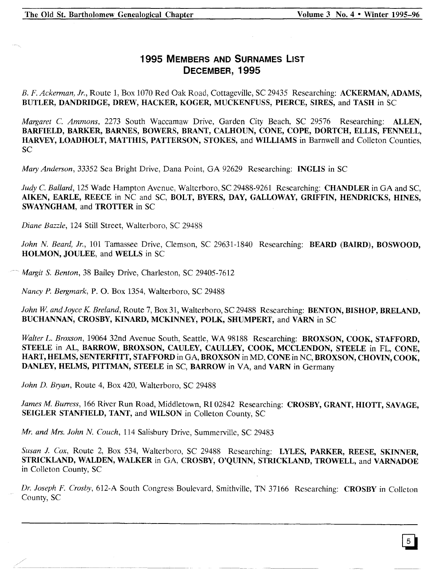# **1995 MEMBERS AND SURNAMES LIST DECEMBER, 1995**

*B. F. Ackerman, Jr.,* Route 1, Box 1070 Red Oak Road, Cottageville, SC 29435 Researching: ACKERMAN, ADAMS, BUTLER, DANDRIDGE, DREW, HACKER, KOGER, MUCKENFUSS, PIERCE, SIRES, and TASH in SC

*Margaret* C. *Ammons,* 2273 South Waccamaw Drive, Garden City Beach, SC 29576 Researching: ALLEN, BARFIELD, BARKER, BARNES, BOWERS, BRANT, CALHOUN, CONE, COPE, DORTCH, ELLIS, FENNELL, HARVEY, LOADHOLT, MATTHIS, PATTERSON, STOKES, and WILLIAMS in Barnwell and Colleton Counties, SC

*Mary Anderson,* 33352 Sea Bright Drive, Dana Point, GA 92629 Researching: INGLIS in SC

*Judy* C. *Ballard,* 125 Wade Hampton Avenue, Walterboro, SC 29488-9261 Researching: CHANDLER in GA and SC, AIKEN, EARLE, REECE in NC and SC, BOLT, BYERS, DAY, GALLOWAY, GRIFFIN, HENDRICKS, HINES, SWAYNGHAM, and TROTTER in SC

*Diane Bazzle,* 124 Still Street, Walterboro, SC 29488

*John N. Beard, Jr.,* 101 Tamassee Drive, Clemson, SC 29631-1840 Researching: BEARD (BAIRD), BOSWOOD, HOLMON, JOULEE, and WELLS in SC

Margit S. Benton, 38 Bailey Drive, Charleston, SC 29405-7612

*Nancy P. Bergmark,* P. O. Box 1354, Walterboro, SC 29488

John W. and Joyce K. Breland, Route 7, Box 31, Walterboro, SC 29488 Researching: BENTON, BISHOP, BRELAND, BUCHANNAN, CROSBY, KINARD, MCKINNEY, POLK, SHUMPERT, and VARN in SC

*Walter L. Broxson,* 19064 32nd Avenue South, Seattle, WA 98188 Researching: BROXSON, COOK, STAFFORD, STEELE in AL, BARROW, BROXSON, CAULEY, CAULLEY, COOK, MCCLENDON, STEELE in FL, CONE, HART, HELMS, SENTERFITT, STAFFORD in GA, BROXSON in MD, CONE in NC, BROXSON, CHOVIN, COOK, DANLEY, HELMS, PITTMAN, STEELE in SC, BARROW in VA, and VARN in Germany

*John D. Bryan,* Route 4, Box 420, Walterboro, SC 29488

*James M. Burress,* 166 River Run Road, Middletown, RI02842 Researching: CROSBY, GRANT, HIOTT, SAVAGE, SEIGLER STANFIELD, TANT, and WILSON in Colleton County, SC

*Mr. and Mrs. John N. Couch,* 114 Salisbury Drive, Summerville, SC 29483

*Susan J. Cox,* Route 2, Box 534, Walterboro, SC 29488 Researching: LYLES, PARKER, REESE, SKINNER, STRICKLAND, WALDEN, WALKER in GA, CROSBY, O'QUINN, STRICKLAND, TROWELL, and VARNADOE in Colleton County, SC

*Dr. Joseph F. Crosby,* 612-A South Congress Boulevard, Smithville, TN 37166 Researching: CROSBY in Colleton County, SC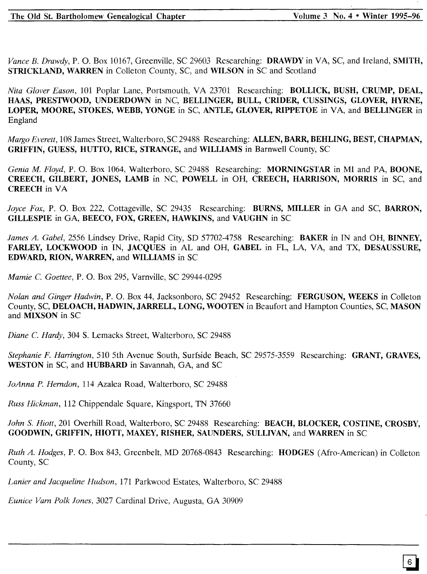*Vance B. Drawdy,* P. O. Box 10167, Greenville, SC 29603 Researching: DRAWDY in VA, SC, and Ireland, SMITH, STRICKLAND, WARREN in Colleton County, SC, and WILSON in SC and Scotland

*Nita Glover Eason,* 101 Poplar Lane, Portsmouth, VA 23701 Researching: BOLLICK, BUSH, CRUMP, DEAL, HAAS, PRESTWOOD, UNDERDOWN in NC, BELLINGER, BULL, CRIDER, CUSSINGS, GLOVER, HYRNE, LOPER, MOORE, STOKES, WEBB, YONGE in SC, ANTLE, GLOVER, RIPPETOE in VA, and BELLINGER in England

*Margo Everett,* 108 James Street, Walterboro, SC 29488 Researching: ALLEN, BARR, BEHLING, BEST, CHAPMAN, GRIFFIN, GUESS, HUTTO, RICE, STRANGE, and WILLIAMS in Barnwell County, SC

*Genia M. Floyd,* P. O. Box 1064, Walterboro, SC 29488 Researching: MORNINGSTAR in MI and PA, BOONE, CREECH, GILBERT, JONES, LAMB in NC, POWELL in OH, CREECH, HARRISON, MORRIS in SC, and CREECH in VA

*Joyce Fox,* P. O. Box 222, Cottageville, SC 29435 Researching: BURNS, MILLER in GA and SC, BARRON, GILLESPIE in GA, BEECO, FOX, GREEN, HAWKINS, and VAUGHN in SC

*James A. Gabel,* 2556 Lindsey Drive, Rapid City, SD 57702-4758 Researching: BAKER in IN and OH, BINNEY, FARLEY, LOCKWOOD in IN, JACQUES in AL and OH, GABEL in FL, LA, VA, and TX, DESAUSSURE, EDWARD, RION, WARREN, and WILLIAMS in SC

*Mamie* C. *Goettee,* P. O. Box 295, Varnville, SC 29944-0295

*Nolan and Ginger Hadwin,* P. O. Box 44, Jacksonboro, SC 29452 Researching: FERGUSON, WEEKS in Colleton County, SC, DELOACH, HADWIN, JARRELL, LONG, WOOTEN in Beaufort and Hampton Counties, SC, MASON and MIXSON in SC

*Diane* C. *Hardy,* 304 S. Lemacks Street, Walterboro, SC 29488

*Stephanie F. Hanington,* 510 5th Avenue South, Surfside Beach, SC 29575-3559 Researching: GRANT, GRAVES, WESTON in SC, and HUBBARD in Savannah, GA, and SC

*JoAnna P. Hemdon,* 114 Azalea Road, Walterboro, SC 29488

*Russ Hickman,* 112 Chippendale Square, Kingsport, TN 37660

*John* S. *Hiott,* 201 Overhill Road, Walterboro, SC 29488 Researching: BEACH, BLOCKER, COSTINE, CROSBY, GOODWIN, GRIFFIN, HIOTT, MAXEY, RISHER, SAUNDERS, SULLIVAN, and WARREN in SC

*Ruth A. Hodges,* P. O. Box 843, Greenbelt, MD 20768-0843 Researching: HODGES (Afro-American) in Colleton County, SC

*Lanier and Jacqueline Hudson,* 171 Parkwood Estates, Walterboro, SC 29488

*Eunice Vam Polk Jones,* 3027 Cardinal Drive, Augusta, GA 30909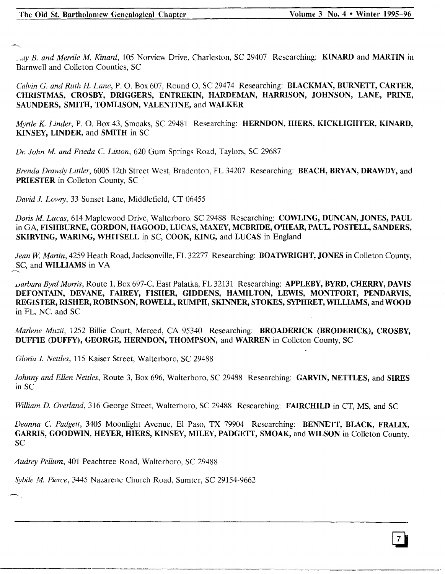~.JY*B. and Merrile M. Kinard,* 105 Norview Drive, Charleston, SC 29407 Researching: KINARD and MARTIN in Barnwell and Colleton Counties, SC

*Calvin* G. *and Ruth H. Lane,* P. O. Box 607, Round 0, SC 29474 Researching: BLACKMAN, BURNETT, CARTER, CHRISTMAS, CROSBY, DRIGGERS, ENTREKIN, HARDEMAN, HARRISON, JOHNSON, LANE, PRINE, SAUNDERS, SMITH, TOMLISON, VALENTINE, and WALKER

*Myrtle K Linder,* P. O. Box 43, Smoaks, SC 29481 Researching: HERNDON, HIERS, KICKLIGHTER, KINARD, KINSEY, LINDER, and SMITH in SC

*Dr. John M. and Frieda* C. *Liston,* 620 Gum Springs Road, Taylors, SC 29687

*Brenda Drawdy Littler*, 6005 12th Street West, Bradenton, FL 34207 Researching: BEACH, BRYAN, DRAWDY, and PRIESTER in Colleton County, SC

*David J. Lowry,* 33 Sunset Lane, Middlefield, CT 06455

*Doris M. Lucas,* 614 Maplewood Drive, Walterboro, SC 29488 Researching: COWLING, DUNCAN, JONES, PAUL in GA, FISHBURNE, GORDON, HAGOOD, LUCAS, MAXEY, MCBRIDE, O'HEAR, PAUL, POSTELL, SANDERS, SKIRVING, WARING, WHITSELL in SC, COOK, KING, and LUCAS in England

*Jean W Martin,* 4259 Heath Road, Jacksonville, FL 32277 Researching: BOATWRIGHT, JONES in Colleton County, SC, and WILLIAMS in VA

*varbara Byrd Morris,* Route 1, Box 697-C, East Palatka, FL 32131 Researching: APPLEBY, BYRD, CHERRY, DAVIS DEFONTAIN, DEVANE, FAIREY, FISHER, GIDDENS, HAMILTON, LEWIS, MONTFORT, PENDARVIS, REGISTER, RISHER, ROBINSON, ROWELL, RUMPH, SKINNER, STOKES, SYPHRET, WILLIAMS, and WOOD in FL, NC, and SC

*Marlene Muzii,* 1252 Billie Court, Merced, CA 95340 Researching: BROADERICK (BRODERICK), CROSBY, DUFFIE (DUFFY), GEORGE, HERNDON, THOMPSON, and WARREN in Colleton County, SC

*Gloria J. Nettles,* 115 Kaiser Street, Walterboro, SC 29488

*Johnny and Ellen Nettles,* Route 3, Box 696, Walterboro, SC 29488 Researching: GARVIN, NETTLES, and SIRES in SC

*William D. Overland,* 316 George Street, Walterboro, SC 29488 Researching: FAIRCHILD in CT, MS, and SC

*Deanna* C. *Padgett,* 3405 Moonlight Avenue, EI Paso, TX 79904 Researching: BENNETT, BLACK, FRALIX, GARRIS, GOODWIN, HEYER, HIERS, KINSEY, MILEY, PADGETT, SMOAK, and WILSON in Colleton County, SC

*Audrey Pellum,* 401 Peachtree Road, Walterboro, SC 29488

*Sybile* M. *Pierce,* 3445 Nazarene Church Road, Sumter, SC 29154-9662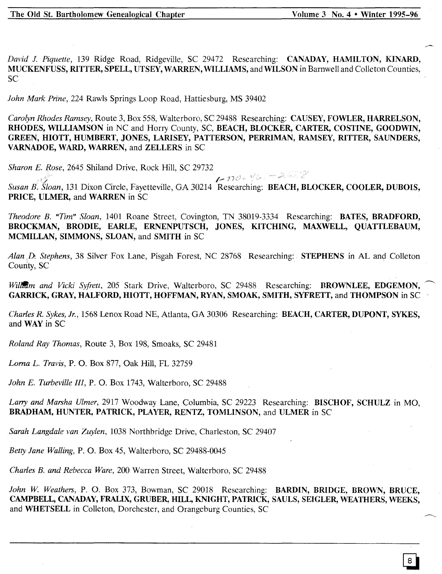*David J. Piquette,* 139 Ridge Road, Ridgeville, SC 29472 Researching: CANADAY, HAMILTON, KINARD, MUCKENFUSS, RITTER, SPELL, UTSEY, WARREN, WILLIAMS, and WILSON in Barnwell and Colleton Counties, SC

*John Mark Prine,* 224 Rawls Springs Loop Road, Hattiesburg, MS 39402

*Carolyn Rhodes Ramsey,* Route 3, Box 558, Walterboro, SC 29488 Researching: CAUSEY, FOWLER, HARRELSON, RHODES, WILLIAMSON in NC and Horry County, SC, BEACH, BLOCKER, CARTER, COSTINE, GOODWIN, GREEN, HIOTT, HUMBERT, JONES, LARISEY, PATTERSON, PERRIMAN, RAMSEY, RITTER, SAUNDERS, VARNADOE, WARD, WARREN, and ZELLERS in SC

*Sharon E. Rose,* 2645 Shiland Drive, Rock Hill, SC 29732

(a) I. Piner Circle Fe atte 11, 04, 20014 Party *Susan B: Sloan,* 131 Dixon Circle, Fayetteville, GA 30214 Researching: BEACH, BLOCKER, COOLER, DUBOIS, PRICE, ULMER, and WARREN in SC

*Theodore B. "Tim" Sloan,* 1401 Roane Street, Covington, TN 38019-3334 Researching: BATES, BRADFORD, BROCKMAN, BRODIE, EARLE, ERNENPUTSCH, JONES, KITCHING, MAXWELL, QUATTLEBAUM, MCMILLAN, SIMMONS, SLOAN, and SMITH in SC

*AlanJ); Stephens,* 38 Silver Fox Lane, Pisgah Forest, NC 28768 Researching: STEPHENS in AL and Colleton County, SC

*Will<del>em</del> and Vicki Syfrett,* 205 Stark Drive, Walterboro, SC 29488 Researching: **BROWNLEE, EDGEMON,** GARRICK, GRAY, HALFORD, HIOTT, HOFFMAN, RYAN, SMOAK, SMITH, SYFRETT, and THOMPSON in SC

*Charles R. Sykes, Jr.,* 1568 Lenox Road NE, Atlanta, GA 30306 Researching: BEACH, CARTER, DUPONT, SYKES, and WAY in SC

*Roland Ray Thomas,* Route 3, Box 198, Smoaks, SC 29481

*Lorna L. Travis,* P. O. Box 877, Oak Hill, FL 32759

*John E. Turbeville III,* P. O. Box 1743, Walterboro, SC 29488

*Larry and Marsha Ulmer,* 2917 Woodway Lane, Columbia, SC 29223 Researching: BISCHOF, SCHULZ in MO, BRADHAM, HUNTER, PATRICK, PLAYER, RENTZ, TOMLINSON, and ULMER in SC

*Sarah Langdale van Zuylen,* 1038 Northbridge Drive, Charleston, SC 29407

*Betty Jane Walling,* P. O. Box 45, Walterboro, SC 29488-0045

*Charles B. and Rebecca Ware,* 200 Warren Street, Walterboro, SC 29488

John W. Weathers, P. O. Box 373, Bowman, SC 29018 Researching: BARDIN, BRIDGE, BROWN, BRUCE, CAMPBELL, CANADAY, FRALIX, GRUBER, HILL, KNIGHT, PATRICK, SAULS, SEIGLER, WEATHERS, WEEKS, and WHETSELL in Colleton, Dorchester, and Orangeburg Counties, SC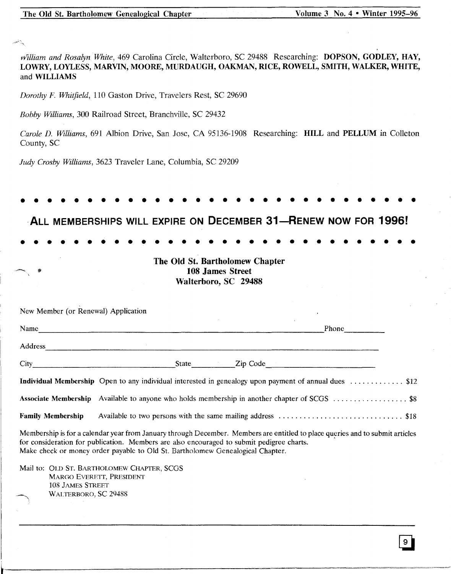| Volume 3 No. 4 • Winter 1995-96<br>The Old St. Bartholomew Genealogical Chapter                                                                                                                                                                                                                              |
|--------------------------------------------------------------------------------------------------------------------------------------------------------------------------------------------------------------------------------------------------------------------------------------------------------------|
|                                                                                                                                                                                                                                                                                                              |
|                                                                                                                                                                                                                                                                                                              |
| william and Rosalyn White, 469 Carolina Circle, Walterboro, SC 29488 Researching: DOPSON, GODLEY, HAY,<br>LOWRY, LOYLESS, MARVIN, MOORE, MURDAUGH, OAKMAN, RICE, ROWELL, SMITH, WALKER, WHITE,<br>and WILLIAMS                                                                                               |
| Dorothy F. Whitfield, 110 Gaston Drive, Travelers Rest, SC 29690                                                                                                                                                                                                                                             |
| Bobby Williams, 300 Railroad Street, Branchville, SC 29432                                                                                                                                                                                                                                                   |
| Carole D. Williams, 691 Albion Drive, San Jose, CA 95136-1908 Researching: HILL and PELLUM in Colleton<br>County, SC                                                                                                                                                                                         |
| Judy Crosby Williams, 3623 Traveler Lane, Columbia, SC 29209                                                                                                                                                                                                                                                 |
|                                                                                                                                                                                                                                                                                                              |
|                                                                                                                                                                                                                                                                                                              |
| ALL MEMBERSHIPS WILL EXPIRE ON DECEMBER 31-RENEW NOW FOR 1996!                                                                                                                                                                                                                                               |
|                                                                                                                                                                                                                                                                                                              |
|                                                                                                                                                                                                                                                                                                              |
| The Old St. Bartholomew Chapter<br>108 James Street                                                                                                                                                                                                                                                          |
| Walterboro, SC 29488                                                                                                                                                                                                                                                                                         |
|                                                                                                                                                                                                                                                                                                              |
| New Member (or Renewal) Application                                                                                                                                                                                                                                                                          |
| Phone<br>Name                                                                                                                                                                                                                                                                                                |
|                                                                                                                                                                                                                                                                                                              |
|                                                                                                                                                                                                                                                                                                              |
| Individual Membership Open to any individual interested in genealogy upon payment of annual dues \$12                                                                                                                                                                                                        |
| Associate Membership Available to anyone who holds membership in another chapter of SCGS \$8                                                                                                                                                                                                                 |
| Available to two persons with the same mailing address \$18<br><b>Family Membership</b>                                                                                                                                                                                                                      |
| Membership is for a calendar year from January through December. Members are entitled to place queries and to submit articles<br>for consideration for publication. Members are also encouraged to submit pedigree charts.<br>Make check or money order payable to Old St. Bartholomew Genealogical Chapter. |
| Mail to: OLD ST. BARTHOLOMEW CHAPTER, SCGS<br>MARGO EVERETT, PRESIDENT                                                                                                                                                                                                                                       |
| <b>108 JAMES STREET</b><br>WALTERBORO, SC 29488                                                                                                                                                                                                                                                              |
|                                                                                                                                                                                                                                                                                                              |